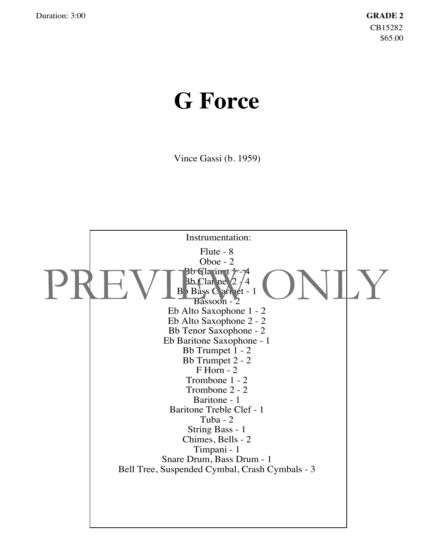## **G Force**

Vince Gassi (b. 1959)

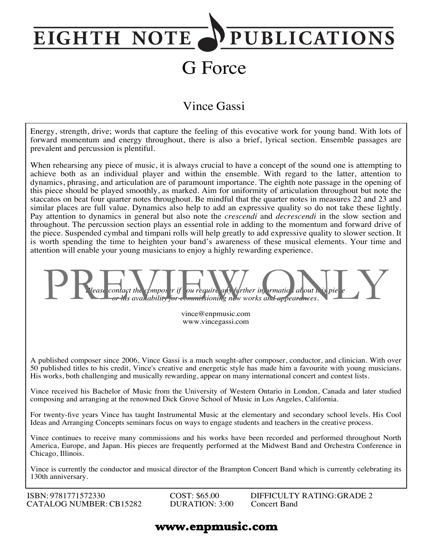## **PUBLICATIONS EIGHTH NOTE** G Force

## Vince Gassi

Energy, strength, drive; words that capture the feeling of this evocative work for young band. With lots of forward momentum and energy throughout, there is also a brief, lyrical section. Ensemble passages are prevalent and percussion is plentiful.

When rehearsing any piece of music, it is always crucial to have a concept of the sound one is attempting to achieve both as an individual player and within the ensemble. With regard to the latter, attention to dynamics, phrasing, and articulation are of paramount importance. The eighth note passage in the opening of this piece should be played smoothly, as marked. Aim for uniformity of articulation throughout but note the staccatos on beat four quarter notes throughout. Be mindful that the quarter notes in measures 22 and 23 and similar places are full value. Dynamics also help to add an expressive quality so do not take these lightly. Pay attention to dynamics in general but also note the *crescendi* and *decrescendi* in the slow section and throughout. The percussion section plays an essential role in adding to the momentum and forward drive of the piece. Suspended cymbal and timpani rolls will help greatly to add expressive quality to slower section. It is worth spending the time to heighten your band's awareness of these musical elements. Your time and attention will enable your young musicians to enjoy a highly rewarding experience.



vince@enpmusic.com www.vincegassi.com

A published composer since 2006, Vince Gassi is a much sought-after composer, conductor, and clinician. With over 50 published titles to his credit, Vince's creative and energetic style has made him a favourite with young musicians. His works, both challenging and musically rewarding, appear on many international concert and contest lists.

Vince received his Bachelor of Music from the University of Western Ontario in London, Canada and later studied composing and arranging at the renowned Dick Grove School of Music in Los Angeles, California.

For twenty-five years Vince has taught Instrumental Music at the elementary and secondary school levels. His Cool Ideas and Arranging Concepts seminars focus on ways to engage students and teachers in the creative process.

Vince continues to receive many commissions and his works have been recorded and performed throughout North America, Europe, and Japan. His pieces are frequently performed at the Midwest Band and Orchestra Conference in Chicago, Illinois.

Vince is currently the conductor and musical director of the Brampton Concert Band which is currently celebrating its 130th anniversary.

ISBN: 9781771572330 CATALOG NUMBER:CB15282 COST: \$65.00 DURATION: 3:00 DIFFICULTY RATING:GRADE 2 Concert Band

**www.enpmusic.com**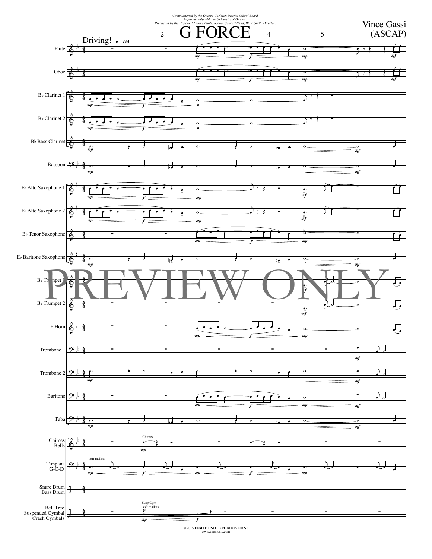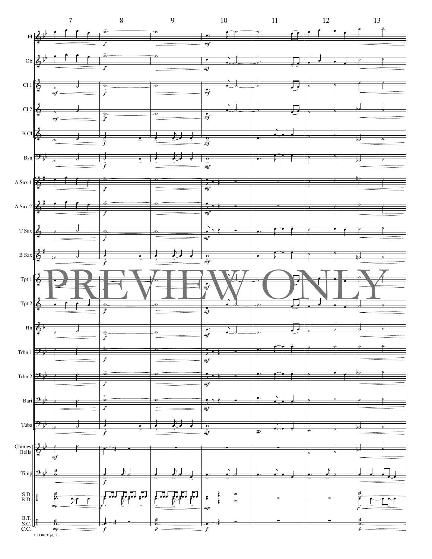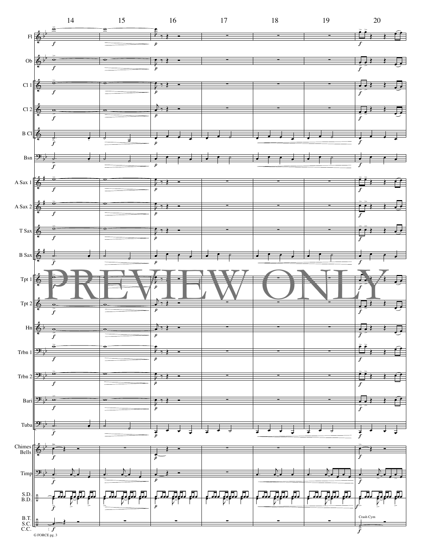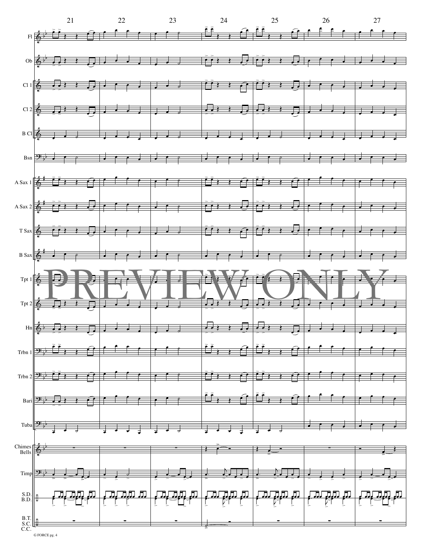

G FORCE pg. 4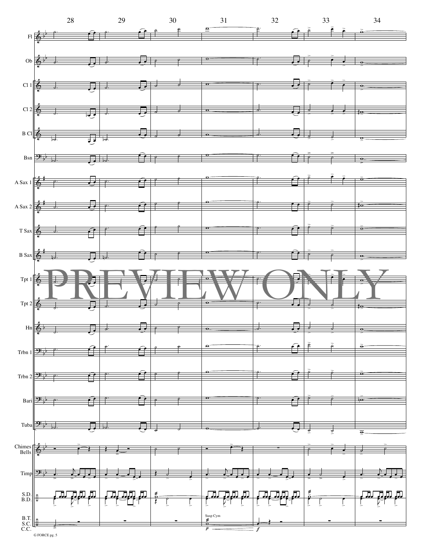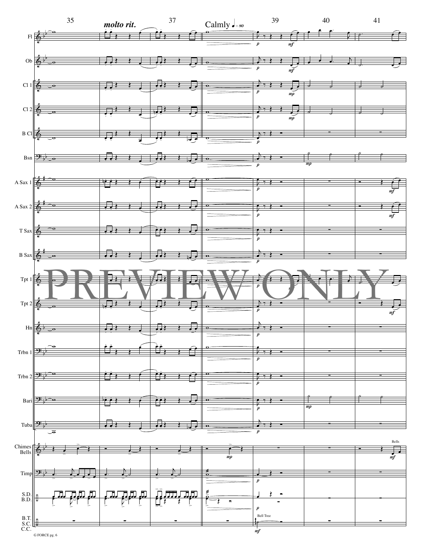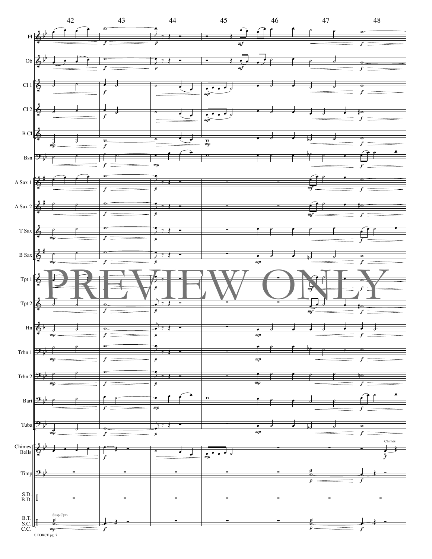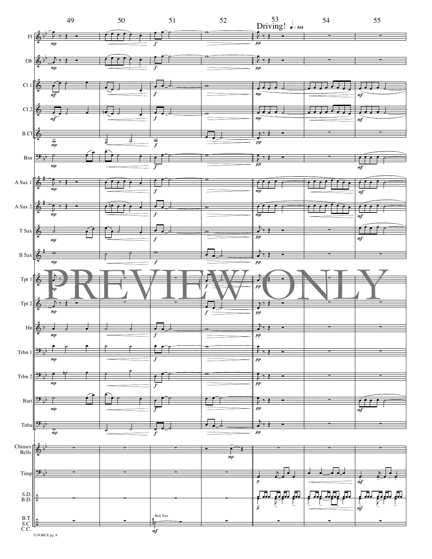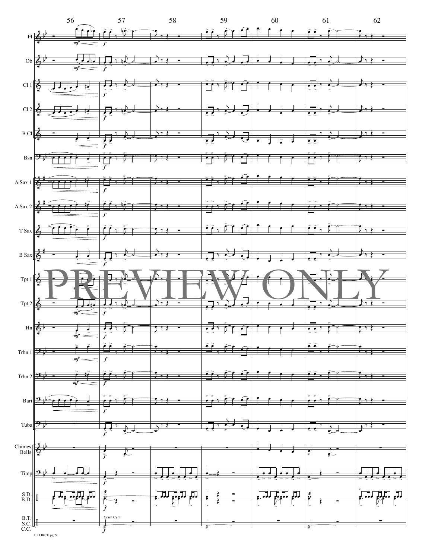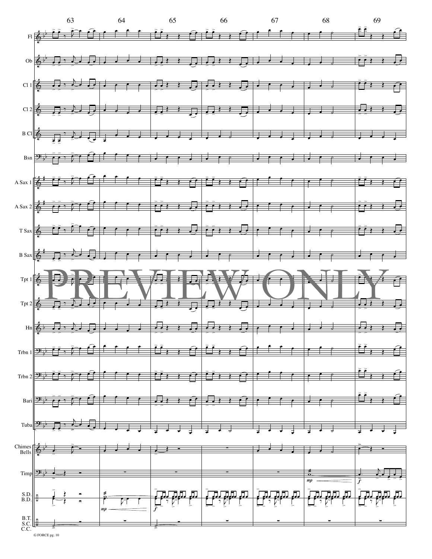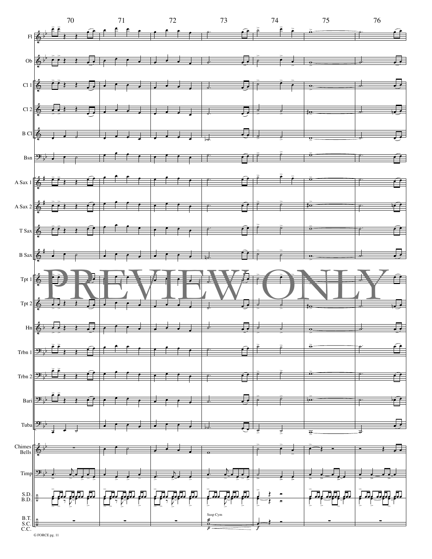

G FORCE pg. 11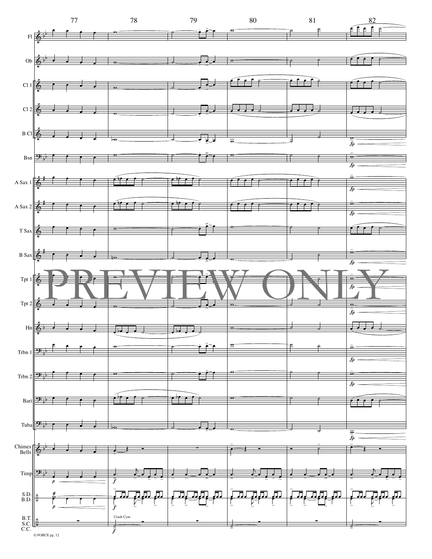